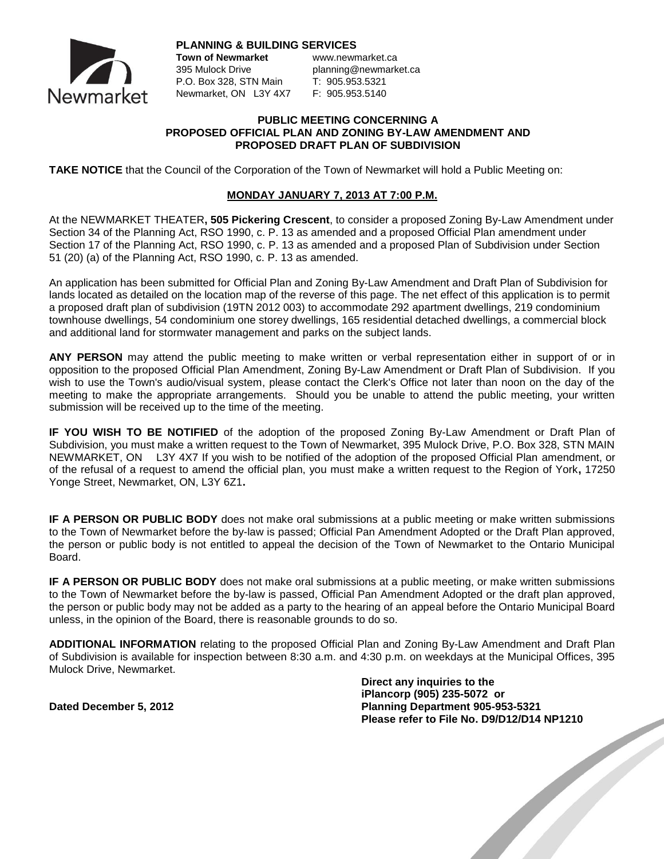

**PLANNING & BUILDING SERVICES**

P.O. Box 328, STN Main T: 905.953.5321 Newmarket, ON L3Y 4X7 F: 905.953.5140

**Town of Newmarket www.newmarket.ca** 395 Mulock Drive planning@newmarket.ca

## **PUBLIC MEETING CONCERNING A PROPOSED OFFICIAL PLAN AND ZONING BY-LAW AMENDMENT AND PROPOSED DRAFT PLAN OF SUBDIVISION**

**TAKE NOTICE** that the Council of the Corporation of the Town of Newmarket will hold a Public Meeting on:

## **MONDAY JANUARY 7, 2013 AT 7:00 P.M.**

At the NEWMARKET THEATER**, 505 Pickering Crescent**, to consider a proposed Zoning By-Law Amendment under Section 34 of the Planning Act, RSO 1990, c. P. 13 as amended and a proposed Official Plan amendment under Section 17 of the Planning Act, RSO 1990, c. P. 13 as amended and a proposed Plan of Subdivision under Section 51 (20) (a) of the Planning Act, RSO 1990, c. P. 13 as amended.

An application has been submitted for Official Plan and Zoning By-Law Amendment and Draft Plan of Subdivision for lands located as detailed on the location map of the reverse of this page. The net effect of this application is to permit a proposed draft plan of subdivision (19TN 2012 003) to accommodate 292 apartment dwellings, 219 condominium townhouse dwellings, 54 condominium one storey dwellings, 165 residential detached dwellings, a commercial block and additional land for stormwater management and parks on the subject lands.

**ANY PERSON** may attend the public meeting to make written or verbal representation either in support of or in opposition to the proposed Official Plan Amendment, Zoning By-Law Amendment or Draft Plan of Subdivision. If you wish to use the Town's audio/visual system, please contact the Clerk's Office not later than noon on the day of the meeting to make the appropriate arrangements. Should you be unable to attend the public meeting, your written submission will be received up to the time of the meeting.

**IF YOU WISH TO BE NOTIFIED** of the adoption of the proposed Zoning By-Law Amendment or Draft Plan of Subdivision, you must make a written request to the Town of Newmarket, 395 Mulock Drive, P.O. Box 328, STN MAIN NEWMARKET, ON L3Y 4X7 If you wish to be notified of the adoption of the proposed Official Plan amendment, or of the refusal of a request to amend the official plan, you must make a written request to the Region of York**,** 17250 Yonge Street, Newmarket, ON, L3Y 6Z1**.**

**IF A PERSON OR PUBLIC BODY** does not make oral submissions at a public meeting or make written submissions to the Town of Newmarket before the by-law is passed; Official Pan Amendment Adopted or the Draft Plan approved, the person or public body is not entitled to appeal the decision of the Town of Newmarket to the Ontario Municipal Board.

**IF A PERSON OR PUBLIC BODY** does not make oral submissions at a public meeting, or make written submissions to the Town of Newmarket before the by-law is passed, Official Pan Amendment Adopted or the draft plan approved, the person or public body may not be added as a party to the hearing of an appeal before the Ontario Municipal Board unless, in the opinion of the Board, there is reasonable grounds to do so.

**ADDITIONAL INFORMATION** relating to the proposed Official Plan and Zoning By-Law Amendment and Draft Plan of Subdivision is available for inspection between 8:30 a.m. and 4:30 p.m. on weekdays at the Municipal Offices, 395 Mulock Drive, Newmarket.

**Direct any inquiries to the iPlancorp (905) 235-5072 or**<br> **Planning Department 905-953-5321**<br> **Please refer to File No. D9/D12/D14 NP1210**<br> **Please refer to File No. D9/D12/D14 NP1210 Dated December 5, 2012 Planning Department 905-953-5321 Please refer to File No. D9/D12/D14 NP1210**